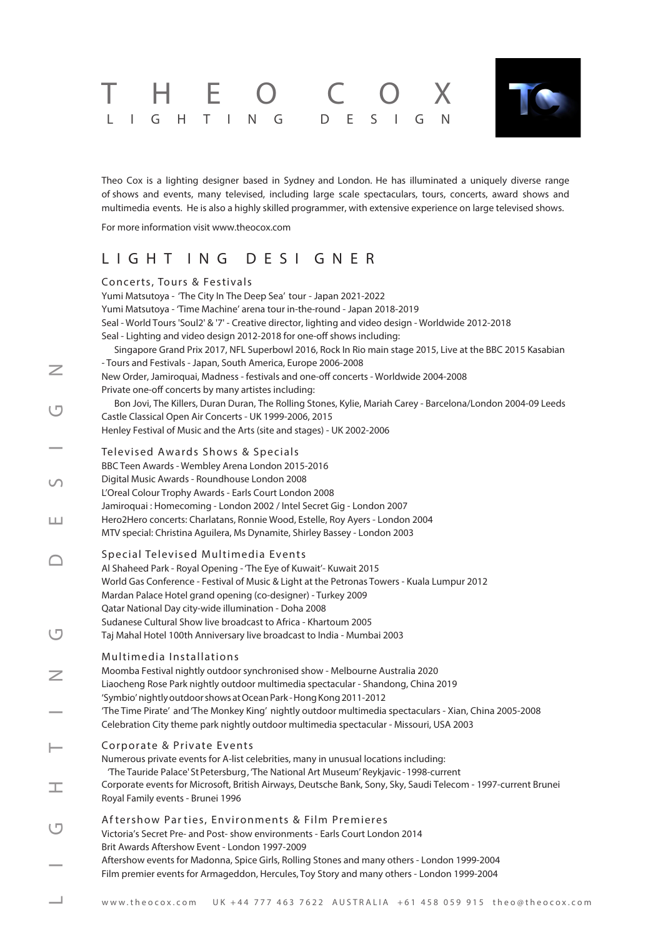# T H E O C O X LIGHTING DESIGN



Theo Cox is a lighting designer based in Sydney and London. He has illuminated a uniquely diverse range of shows and events, many televised, including large scale spectaculars, tours, concerts, award shows and multimedia events. He is also a highly skilled programmer, with extensive experience on large televised shows.

For more information visit [www.theocox.com](http://theocox.com)

### L I G H T I N G D E S I GNER

|        | Concerts, Tours & Festivals                                                                                                                                                                              |
|--------|----------------------------------------------------------------------------------------------------------------------------------------------------------------------------------------------------------|
|        | Yumi Matsutoya - 'The City In The Deep Sea' tour - Japan 2021-2022                                                                                                                                       |
|        | Yumi Matsutoya - 'Time Machine' arena tour in-the-round - Japan 2018-2019                                                                                                                                |
|        | Seal - World Tours 'Soul2' & '7' - Creative director, lighting and video design - Worldwide 2012-2018                                                                                                    |
|        | Seal - Lighting and video design 2012-2018 for one-off shows including:                                                                                                                                  |
|        | Singapore Grand Prix 2017, NFL Superbowl 2016, Rock In Rio main stage 2015, Live at the BBC 2015 Kasabian                                                                                                |
| Z      | - Tours and Festivals - Japan, South America, Europe 2006-2008                                                                                                                                           |
|        | New Order, Jamiroquai, Madness - festivals and one-off concerts - Worldwide 2004-2008                                                                                                                    |
|        | Private one-off concerts by many artistes including:                                                                                                                                                     |
| ロ      | Bon Jovi, The Killers, Duran Duran, The Rolling Stones, Kylie, Mariah Carey - Barcelona/London 2004-09 Leeds                                                                                             |
|        | Castle Classical Open Air Concerts - UK 1999-2006, 2015                                                                                                                                                  |
|        | Henley Festival of Music and the Arts (site and stages) - UK 2002-2006                                                                                                                                   |
|        | Televised Awards Shows & Specials                                                                                                                                                                        |
|        | BBC Teen Awards - Wembley Arena London 2015-2016                                                                                                                                                         |
| $\cup$ | Digital Music Awards - Roundhouse London 2008                                                                                                                                                            |
|        | L'Oreal Colour Trophy Awards - Earls Court London 2008                                                                                                                                                   |
|        | Jamiroquai : Homecoming - London 2002 / Intel Secret Gig - London 2007                                                                                                                                   |
| ш      | Hero2Hero concerts: Charlatans, Ronnie Wood, Estelle, Roy Ayers - London 2004                                                                                                                            |
|        | MTV special: Christina Aguilera, Ms Dynamite, Shirley Bassey - London 2003                                                                                                                               |
|        | Special Televised Multimedia Events                                                                                                                                                                      |
|        | Al Shaheed Park - Royal Opening - 'The Eye of Kuwait'- Kuwait 2015                                                                                                                                       |
|        | World Gas Conference - Festival of Music & Light at the Petronas Towers - Kuala Lumpur 2012                                                                                                              |
|        | Mardan Palace Hotel grand opening (co-designer) - Turkey 2009                                                                                                                                            |
|        | Qatar National Day city-wide illumination - Doha 2008                                                                                                                                                    |
|        | Sudanese Cultural Show live broadcast to Africa - Khartoum 2005                                                                                                                                          |
| ロ      | Taj Mahal Hotel 100th Anniversary live broadcast to India - Mumbai 2003                                                                                                                                  |
|        | Multimedia Installations                                                                                                                                                                                 |
|        | Moomba Festival nightly outdoor synchronised show - Melbourne Australia 2020                                                                                                                             |
| Ζ      | Liaocheng Rose Park nightly outdoor multimedia spectacular - Shandong, China 2019                                                                                                                        |
|        | 'Symbio' nightly outdoor shows at Ocean Park - Hong Kong 2011-2012                                                                                                                                       |
|        | 'The Time Pirate' and 'The Monkey King' nightly outdoor multimedia spectaculars - Xian, China 2005-2008                                                                                                  |
|        | Celebration City theme park nightly outdoor multimedia spectacular - Missouri, USA 2003                                                                                                                  |
|        |                                                                                                                                                                                                          |
|        | Corporate & Private Events                                                                                                                                                                               |
|        | Numerous private events for A-list celebrities, many in unusual locations including:                                                                                                                     |
|        | 'The Tauride Palace' St Petersburg, 'The National Art Museum' Reykjavic - 1998-current<br>Corporate events for Microsoft, British Airways, Deutsche Bank, Sony, Sky, Saudi Telecom - 1997-current Brunei |
|        | Royal Family events - Brunei 1996                                                                                                                                                                        |
|        |                                                                                                                                                                                                          |
| ロ      | Aftershow Parties, Environments & Film Premieres                                                                                                                                                         |
|        | Victoria's Secret Pre- and Post- show environments - Earls Court London 2014                                                                                                                             |
|        | Brit Awards Aftershow Event - London 1997-2009                                                                                                                                                           |
|        | Aftershow events for Madonna, Spice Girls, Rolling Stones and many others - London 1999-2004<br>Film premier events for Armageddon, Hercules, Toy Story and many others - London 1999-2004               |
|        |                                                                                                                                                                                                          |
|        | www.theocox.com<br>UK +44 777 463 7622 AUSTRALIA +61 458 059 915 theo@theocox.com                                                                                                                        |
|        |                                                                                                                                                                                                          |